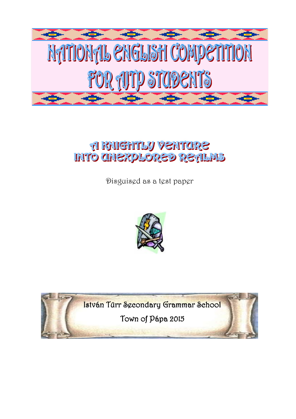

# **A RHIGHTLY VENTURE INTO CHEXPLORED REALNS**

Disguised as a test paper



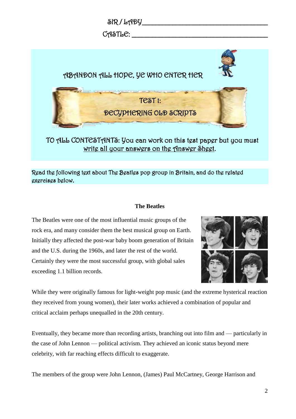

### Read the following text about The Beatles pop group in Britain, and do the related exercises below.

#### **The Beatles**

The Beatles were one of the most influential music groups of the rock era, and many consider them the best musical group on Earth. Initially they affected the post-war baby boom generation of Britain and the U.S. during the 1960s, and later the rest of the world. Certainly they were the most successful group, with global sales exceeding 1.1 billion records.



While they were originally famous for light-weight pop music (and the extreme hysterical reaction they received from young women), their later works achieved a combination of popular and critical acclaim perhaps unequalled in the 20th century.

Eventually, they became more than recording artists, branching out into film and — particularly in the case of John Lennon — political activism. They achieved an iconic status beyond mere celebrity, with far reaching effects difficult to exaggerate.

The members of the group were John Lennon, (James) Paul McCartney, George Harrison and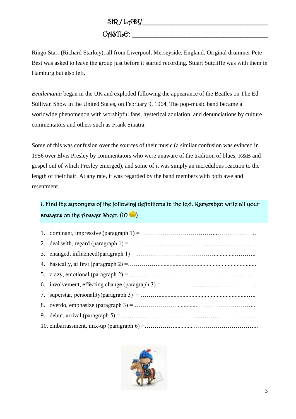# $CAST L C:$

Ringo Starr (Richard Starkey), all from Liverpool, Merseyside, England. Original drummer Pete Best was asked to leave the group just before it started recording. Stuart Sutcliffe was with them in Hamburg but also left.

*Beatlemania* began in the UK and exploded following the appearance of the Beatles on The Ed Sullivan Show in the United States, on February 9, 1964. The pop-music band became a worldwide phenomenon with worshipful fans, hysterical adulation, and denunciations by culture commentators and others such as Frank Sinatra.

Some of this was confusion over the sources of their music (a similar confusion was evinced in 1956 over Elvis Presley by commentators who were unaware of the tradition of blues, R&B and gospel out of which Presley emerged), and some of it was simply an incredulous reaction to the length of their hair. At any rate, it was regarded by the band members with both awe and resentment.

### 1. Find the synonyms of the following definitions in the text. Remember: write all your answers on the Answer Sheet.  $(10 - )$

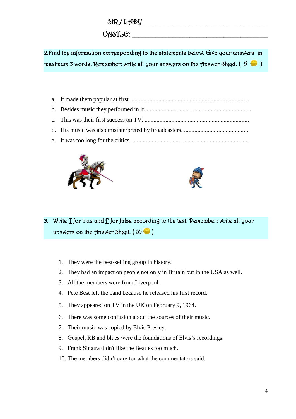$SIR / LADY$ 

CASTLE: \_\_\_\_\_\_\_\_\_\_\_\_\_\_\_\_\_\_\_\_\_\_\_\_\_\_\_\_\_\_\_\_\_\_\_\_\_\_\_\_

2.Find the information corresponding to the statements below. Give your answers in maximum 3 words. Remember: write all your answers on the Answer Sheet.  $(5 \bullet)$ 

a. It made them popular at first. ............................................................................... b. Besides music they performed in it. ...................................................................... c. This was their first success on TV. ...................................................................... d. His music was also misinterpreted by broadcasters. ........................................... e. It was too long for the critics. ..............................................................................





- 3. Write T for true and F for false according to the text. Remember: write all your answers on the Answer Sheet.  $(10 - )$ 
	- 1. They were the best-selling group in history.
	- 2. They had an impact on people not only in Britain but in the USA as well.
	- 3. All the members were from Liverpool.
	- 4. Pete Best left the band because he released his first record.
	- 5. They appeared on TV in the UK on February 9, 1964.
	- 6. There was some confusion about the sources of their music.
	- 7. Their music was copied by Elvis Presley.
	- 8. Gospel, RB and blues were the foundations of Elvis's recordings.
	- 9. Frank Sinatra didn't like the Beatles too much.
	- 10. The members didn't care for what the commentators said.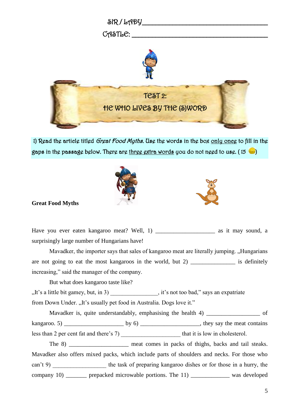

1) Read the article titled Great Food Myths. Use the words in the box only once to fill in the gaps in the passage below. There are three extra words you do not need to use. (15  $\color{blue}\bullet$  )





#### **Great Food Myths**

Have you ever eaten kangaroo meat? Well, 1) \_\_\_\_\_\_\_\_\_\_\_\_\_\_\_\_\_\_\_\_\_\_\_\_ as it may sound, a surprisingly large number of Hungarians have!

Mavadker, the importer says that sales of kangaroo meat are literally jumping. "Hungarians are not going to eat the most kangaroos in the world, but 2) is definitely increasing," said the manager of the company.

But what does kangaroo taste like?

"It's a little bit gamey, but, in 3)  $\qquad \qquad$ , it's not too bad," says an expatriate

from Down Under. ..It's usually pet food in Australia. Dogs love it."

Mavadker is, quite understandably, emphasising the health 4) \_\_\_\_\_\_\_\_\_\_\_\_\_\_\_\_\_\_\_ of

kangaroo. 5)  $\qquad \qquad$  by 6)  $\qquad \qquad$ , they say the meat contains

less than 2 per cent fat and there's 7) \_\_\_\_\_\_\_\_\_\_\_\_\_\_\_\_\_\_\_\_\_\_ that it is low in cholesterol.

The 8) meat comes in packs of thighs, backs and tail steaks. Mavadker also offers mixed packs, which include parts of shoulders and necks. For those who can't 9) the task of preparing kangaroo dishes or for those in a hurry, the company 10) \_\_\_\_\_\_\_ prepacked microwable portions. The 11) \_\_\_\_\_\_\_\_\_\_\_\_\_\_\_ was developed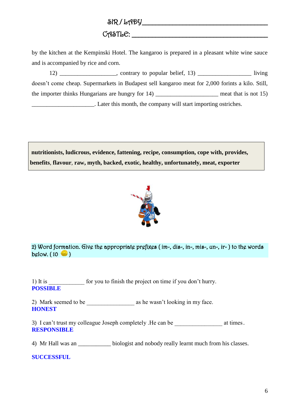SIR / LADY\_\_\_\_\_\_\_\_\_\_\_\_\_\_\_\_\_\_\_\_\_\_\_\_\_\_\_\_\_\_\_\_\_\_\_\_\_

### CASTLE: \_\_\_\_\_\_\_\_\_\_\_\_\_\_\_\_\_\_\_\_\_\_\_\_\_\_\_\_\_\_\_\_\_\_\_\_\_\_\_\_

by the kitchen at the Kempinski Hotel. The kangaroo is prepared in a pleasant white wine sauce and is accompanied by rice and corn.

 $12)$  \_\_\_\_\_\_\_\_\_\_\_\_\_\_, contrary to popular belief,  $13)$  \_\_\_\_\_\_\_\_\_\_\_\_\_\_\_\_\_\_\_\_ living doesn't come cheap. Supermarkets in Budapest sell kangaroo meat for 2,000 forints a kilo. Still, the importer thinks Hungarians are hungry for  $14)$  \_\_\_\_\_\_\_\_\_\_\_\_\_\_\_\_\_\_\_\_\_\_\_\_ meat that is not  $15)$ \_\_\_\_\_\_\_\_\_\_\_\_\_\_\_\_\_\_\_\_\_. Later this month, the company will start importing ostriches.

**nutritionists, ludicrous, evidence, fattening, recipe, consumption, cope with, provides, benefits**, **flavour**, **raw, myth, backed, exotic, healthy, unfortunately, meat, exporter**



2) Word formation. Give the appropriate prefixes ( im-, dis-, in-, mis-, un-, ir- ) to the words below.  $(10 \ \bullet)$ 

1) It is \_\_\_\_\_\_\_\_\_\_\_ for you to finish the project on time if you don't hurry. **POSSIBLE**

2) Mark seemed to be as he wasn't looking in my face. **HONEST**

3) I can't trust my colleague Joseph completely . He can be  $\alpha$  at times. **RESPONSIBLE**

4) Mr Hall was an biologist and nobody really learnt much from his classes.

**SUCCESSFUL**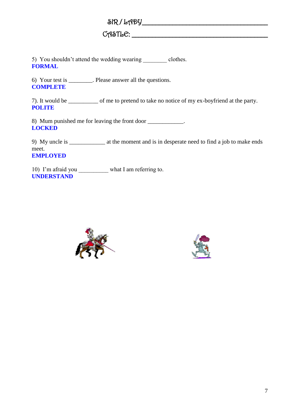$\delta$ R / LADY

CASTLE: \_\_\_\_\_\_\_\_\_\_\_\_\_\_\_\_\_\_\_\_\_\_\_\_\_\_\_\_\_\_\_\_\_\_\_\_\_\_\_\_

5) You shouldn't attend the wedding wearing clothes. **FORMAL**

6) Your test is \_\_\_\_\_\_\_\_. Please answer all the questions. **COMPLETE**

7). It would be \_\_\_\_\_\_\_\_\_\_ of me to pretend to take no notice of my ex-boyfriend at the party. **POLITE**

8) Mum punished me for leaving the front door \_\_\_\_\_\_\_\_\_\_\_\_. **LOCKED**

9) My uncle is \_\_\_\_\_\_\_\_\_\_\_\_ at the moment and is in desperate need to find a job to make ends meet. **EMPLOYED**

10) I'm afraid you \_\_\_\_\_\_\_\_\_\_\_ what I am referring to. **UNDERSTAND**



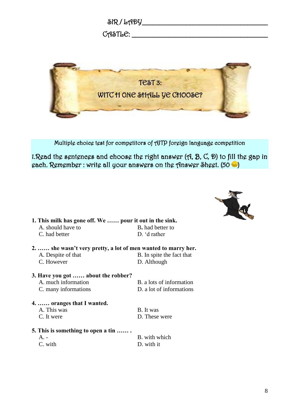



Multiple choice test for competitors of AJTP foreign language competition

1.Read the sentences and choose the right answer (A, B, C, D) to fill the gap in each. Remember: write all your answers on the Answer Sheet.  $(50 \bullet)$ 



| 1. This milk has gone off. We  pour it out in the sink.       |                           |  |
|---------------------------------------------------------------|---------------------------|--|
| A. should have to                                             | <b>B.</b> had better to   |  |
| C. had better                                                 | D. 'd rather              |  |
| 2.  she wasn't very pretty, a lot of men wanted to marry her. |                           |  |
| A. Despite of that                                            | B. In spite the fact that |  |
| C. However                                                    | D. Although               |  |
| 3. Have you got  about the robber?                            |                           |  |
| A. much information                                           | B. a lots of information  |  |
| C. many informations                                          | D. a lot of informations  |  |

**4. …… oranges that I wanted.**  A. This was B. It was C. It were D. These were

- **5. This is something to open a tin …… .**  A. - B. with which
	-

C. with D. with it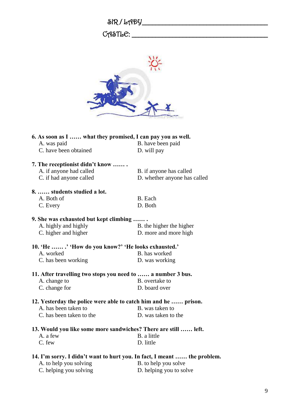| $\delta$ R/LADY |  |
|-----------------|--|
|-----------------|--|

## CASTLE: \_\_\_\_\_\_\_\_\_\_\_\_\_\_\_\_\_\_\_\_\_\_\_\_\_\_\_\_\_\_\_\_\_\_\_\_\_\_\_\_



| 6. As soon as I  what they promised, I can pay you as well.              |                              |  |
|--------------------------------------------------------------------------|------------------------------|--|
| A. was paid                                                              | B. have been paid            |  |
| C. have been obtained                                                    | D. will pay                  |  |
| 7. The receptionist didn't know                                          |                              |  |
| A. if anyone had called                                                  | B. if anyone has called      |  |
| C. if had anyone called                                                  | D. whether anyone has called |  |
| 8.  students studied a lot.                                              |                              |  |
| A. Both of                                                               | B. Each                      |  |
| C. Every                                                                 | D. Both                      |  |
| 9. She was exhausted but kept climbing                                   |                              |  |
| A. highly and highly                                                     | B. the higher the higher     |  |
| C. higher and higher                                                     | D. more and more high        |  |
| 10. 'He  .' 'How do you know?' 'He looks exhausted.'                     |                              |  |
| A. worked                                                                | B. has worked                |  |
| C. has been working                                                      | D. was working               |  |
| 11. After travelling two stops you need to  a number 3 bus.              |                              |  |
| A. change to                                                             | B. overtake to               |  |
| C. change for                                                            | D. board over                |  |
| 12. Yesterday the police were able to catch him and he  prison.          |                              |  |
| A. has been taken to                                                     | B. was taken to              |  |
| C. has been taken to the                                                 | D. was taken to the          |  |
| 13. Would you like some more sandwiches? There are still  left.          |                              |  |
| A. a few                                                                 | B. a little                  |  |
| C. few                                                                   | D. little                    |  |
| 14. I'm sorry. I didn't want to hurt you. In fact, I meant  the problem. |                              |  |
| A. to help you solving                                                   | B. to help you solve         |  |
| C. helping you solving                                                   | D. helping you to solve      |  |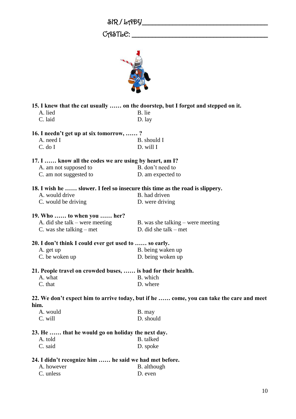## $C$   $A$  $S$   $T$   $L$   $C$ :  $\_\_$



| 15. I knew that the cat usually  on the doorstep, but I forgot and stepped on it. |                                                                                          |  |  |  |
|-----------------------------------------------------------------------------------|------------------------------------------------------------------------------------------|--|--|--|
| A. lied                                                                           | B. lie                                                                                   |  |  |  |
| C. laid                                                                           | D. lay                                                                                   |  |  |  |
|                                                                                   | 16. I needn't get up at six tomorrow, ?                                                  |  |  |  |
| A. need I                                                                         | B. should I                                                                              |  |  |  |
| C. do I                                                                           | D. will I                                                                                |  |  |  |
| 17. I  know all the codes we are using by heart, am I?                            |                                                                                          |  |  |  |
| A. am not supposed to                                                             | B. don't need to                                                                         |  |  |  |
| C. am not suggested to                                                            | D. am expected to                                                                        |  |  |  |
|                                                                                   | 18. I wish he  slower. I feel so insecure this time as the road is slippery.             |  |  |  |
| A. would drive                                                                    | B. had driven                                                                            |  |  |  |
| C. would be driving                                                               | D. were driving                                                                          |  |  |  |
| 19. Who  to when you  her?                                                        |                                                                                          |  |  |  |
| A. did she talk $-$ were meeting                                                  | B. was she talking $-$ were meeting                                                      |  |  |  |
| C. was she talking $-$ met                                                        | D. did she talk $-$ met                                                                  |  |  |  |
| 20. I don't think I could ever get used to  so early.                             |                                                                                          |  |  |  |
| A. get up                                                                         | B. being waken up                                                                        |  |  |  |
| C. be woken up                                                                    | D. being woken up                                                                        |  |  |  |
| 21. People travel on crowded buses,  is bad for their health.                     |                                                                                          |  |  |  |
| A. what                                                                           | B. which                                                                                 |  |  |  |
| C. that                                                                           | D. where                                                                                 |  |  |  |
|                                                                                   | 22. We don't expect him to arrive today, but if he  come, you can take the care and meet |  |  |  |
| him.                                                                              |                                                                                          |  |  |  |
| A. would                                                                          | B. may                                                                                   |  |  |  |
| C. will                                                                           | D. should                                                                                |  |  |  |
| 23. He  that he would go on holiday the next day.                                 |                                                                                          |  |  |  |
| A. told                                                                           | B. talked                                                                                |  |  |  |
| C. said                                                                           | D. spoke                                                                                 |  |  |  |
| 24. I didn't recognize him  he said we had met before.                            |                                                                                          |  |  |  |
| A. however                                                                        | B. although                                                                              |  |  |  |
| C. unless                                                                         | D. even                                                                                  |  |  |  |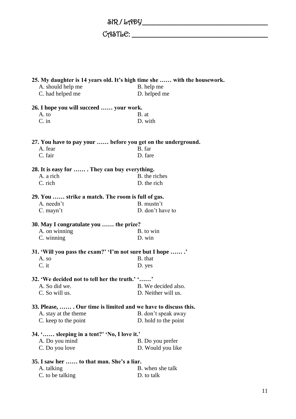$\delta$ R / LADY

 $C \wedge \text{STL} \cdot C: \underline{\hspace{2cm}} \underline{\hspace{2cm}}$ 

| 25. My daughter is 14 years old. It's high time she  with the housework. |                      |  |
|--------------------------------------------------------------------------|----------------------|--|
| A. should help me                                                        | B. help me           |  |
| C. had helped me                                                         | D. helped me         |  |
| 26. I hope you will succeed  your work.                                  |                      |  |
| A. to                                                                    | B. at                |  |
| $C$ . in                                                                 | D. with              |  |
| 27. You have to pay your  before you get on the underground.             |                      |  |
| A. fear                                                                  | B. far               |  |
| C. fair                                                                  | D. fare              |  |
| 28. It is easy for  They can buy everything.                             |                      |  |
| A. a rich                                                                | B. the riches        |  |
| C. rich                                                                  | D. the rich          |  |
| 29. You  strike a match. The room is full of gas.                        |                      |  |
| A. needn't                                                               | B. mustn't           |  |
| $C.$ mayn't                                                              | D. don't have to     |  |
| 30. May I congratulate you  the prize?                                   |                      |  |
| A. on winning                                                            | B. to win            |  |
| C. winning                                                               | D. win               |  |
| 31. 'Will you pass the exam?' 'I'm not sure but I hope '                 |                      |  |
| A. so                                                                    | B. that              |  |
| C. it                                                                    | D. yes               |  |
| 32. 'We decided not to tell her the truth.' ''                           |                      |  |
| A. So did we.                                                            | B. We decided also.  |  |
| C. So will us.                                                           | D. Neither will us.  |  |
| 33. Please,  Our time is limited and we have to discuss this.            |                      |  |
| A. stay at the theme                                                     | B. don't speak away  |  |
| C. keep to the point                                                     | D. hold to the point |  |
| 34. ' sleeping in a tent?' 'No, I love it.'                              |                      |  |
| A. Do you mind                                                           | B. Do you prefer     |  |
| C. Do you love                                                           | D. Would you like    |  |
| 35. I saw her  to that man. She's a liar.                                |                      |  |
| A. talking                                                               | B. when she talk     |  |
| C. to be talking                                                         | D. to talk           |  |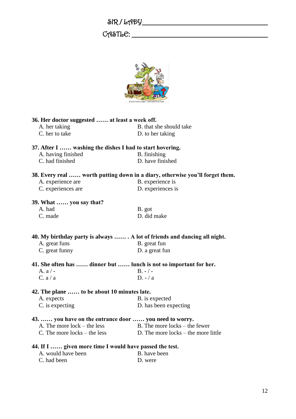| SIR/LADY |
|----------|
|----------|

### $C$   $A$   $S$   $T$   $L$   $C$ :  $\_\_$



| 36. Her doctor suggested  at least a week off.                               |                                       |  |
|------------------------------------------------------------------------------|---------------------------------------|--|
| A. her taking                                                                | B. that she should take               |  |
| C. her to take                                                               | D. to her taking                      |  |
|                                                                              |                                       |  |
| 37. After I  washing the dishes I had to start hovering.                     |                                       |  |
| A. having finished                                                           | B. finishing                          |  |
| C. had finished                                                              | D. have finished                      |  |
| 38. Every real  worth putting down in a diary, otherwise you'll forget them. |                                       |  |
| A. experience are                                                            | B. experience is                      |  |
| C. experiences are                                                           | D. experiences is                     |  |
|                                                                              |                                       |  |
| 39. What  you say that?<br>A. had                                            |                                       |  |
|                                                                              | B. got<br>D. did make                 |  |
| C. made                                                                      |                                       |  |
|                                                                              |                                       |  |
| 40. My birthday party is always  . A lot of friends and dancing all night.   |                                       |  |
| A. great funs                                                                | B. great fun                          |  |
| C. great funny                                                               | D. a great fun                        |  |
| 41. She often has  dinner but  lunch is not so important for her.            |                                       |  |
| A. $a/-$                                                                     | $B. - / -$                            |  |
| C. a/a                                                                       | $D - a$                               |  |
| 42. The plane  to be about 10 minutes late.                                  |                                       |  |
| A. expects                                                                   | B. is expected                        |  |
| C. is expecting                                                              | D. has been expecting                 |  |
|                                                                              |                                       |  |
| 43.  you have on the entrance door  you need to worry.                       |                                       |  |
| A. The more $lock - the less$                                                | B. The more locks – the fewer         |  |
| C. The more locks $-$ the less                                               | D. The more locks $-$ the more little |  |
| 44. If I  given more time I would have passed the test.                      |                                       |  |
| A. would have been                                                           | B. have been                          |  |
| C. had been                                                                  | D. were                               |  |